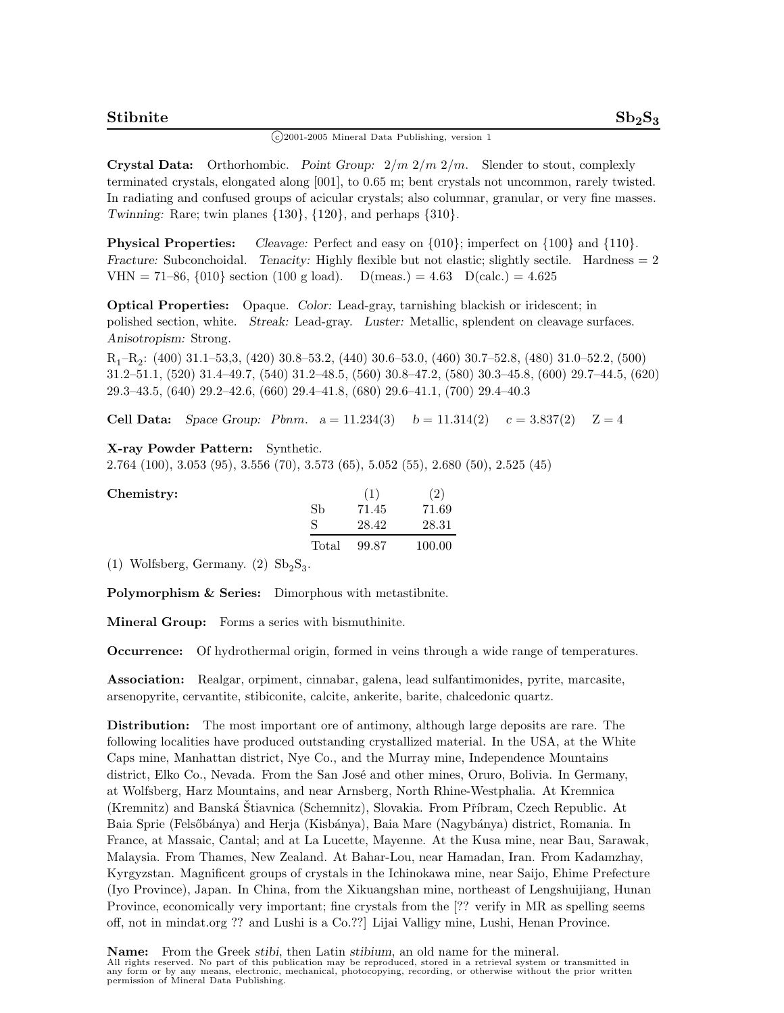## $\binom{c}{2001}$ -2005 Mineral Data Publishing, version 1

**Crystal Data:** Orthorhombic. *Point Group:* 2*/m* 2*/m* 2*/m.* Slender to stout, complexly terminated crystals, elongated along [001], to 0.65 m; bent crystals not uncommon, rarely twisted. In radiating and confused groups of acicular crystals; also columnar, granular, or very fine masses. *Twinning:* Rare; twin planes {130}, {120}, and perhaps {310}.

**Physical Properties:** *Cleavage:* Perfect and easy on  $\{010\}$ ; imperfect on  $\{100\}$  and  $\{110\}$ . *Fracture:* Subconchoidal. *Tenacity:* Highly flexible but not elastic; slightly sectile. Hardness  $= 2$ VHN = 71–86,  $\{010\}$  section (100 g load). D(meas.) = 4.63 D(calc.) = 4.625

**Optical Properties:** Opaque. *Color:* Lead-gray, tarnishing blackish or iridescent; in polished section, white. *Streak:* Lead-gray. *Luster:* Metallic, splendent on cleavage surfaces. *Anisotropism:* Strong.

R1–R2: (400) 31.1–53,3, (420) 30.8–53.2, (440) 30.6–53.0, (460) 30.7–52.8, (480) 31.0–52.2, (500) 31.2–51.1, (520) 31.4–49.7, (540) 31.2–48.5, (560) 30.8–47.2, (580) 30.3–45.8, (600) 29.7–44.5, (620) 29.3–43.5, (640) 29.2–42.6, (660) 29.4–41.8, (680) 29.6–41.1, (700) 29.4–40.3

**Cell Data:** *Space Group: Pbnm.*  $a = 11.234(3)$   $b = 11.314(2)$   $c = 3.837(2)$   $\mathbb{Z} = 4$ 

## **X-ray Powder Pattern:** Synthetic.

2.764 (100), 3.053 (95), 3.556 (70), 3.573 (65), 5.052 (55), 2.680 (50), 2.525 (45)

| Chemistry: |       | (1)   | (2)    |
|------------|-------|-------|--------|
|            | Sb    | 71.45 | 71.69  |
|            | S     | 28.42 | 28.31  |
|            | Total | 99.87 | 100.00 |

(1) Wolfsberg, Germany. (2)  $Sb_2S_3$ .

**Polymorphism & Series:** Dimorphous with metastibnite.

**Mineral Group:** Forms a series with bismuthinite.

**Occurrence:** Of hydrothermal origin, formed in veins through a wide range of temperatures.

**Association:** Realgar, orpiment, cinnabar, galena, lead sulfantimonides, pyrite, marcasite, arsenopyrite, cervantite, stibiconite, calcite, ankerite, barite, chalcedonic quartz.

**Distribution:** The most important ore of antimony, although large deposits are rare. The following localities have produced outstanding crystallized material. In the USA, at the White Caps mine, Manhattan district, Nye Co., and the Murray mine, Independence Mountains district, Elko Co., Nevada. From the San José and other mines, Oruro, Bolivia. In Germany, at Wolfsberg, Harz Mountains, and near Arnsberg, North Rhine-Westphalia. At Kremnica (Kremnitz) and Banská Štiavnica (Schemnitz), Slovakia. From Příbram, Czech Republic. At Baia Sprie (Felsőbánya) and Herja (Kisbánya), Baia Mare (Nagybánya) district, Romania. In France, at Massaic, Cantal; and at La Lucette, Mayenne. At the Kusa mine, near Bau, Sarawak, Malaysia. From Thames, New Zealand. At Bahar-Lou, near Hamadan, Iran. From Kadamzhay, Kyrgyzstan. Magnificent groups of crystals in the Ichinokawa mine, near Saijo, Ehime Prefecture (Iyo Province), Japan. In China, from the Xikuangshan mine, northeast of Lengshuijiang, Hunan Province, economically very important; fine crystals from the [?? verify in MR as spelling seems off, not in mindat.org ?? and Lushi is a Co.??] Lijai Valligy mine, Lushi, Henan Province.